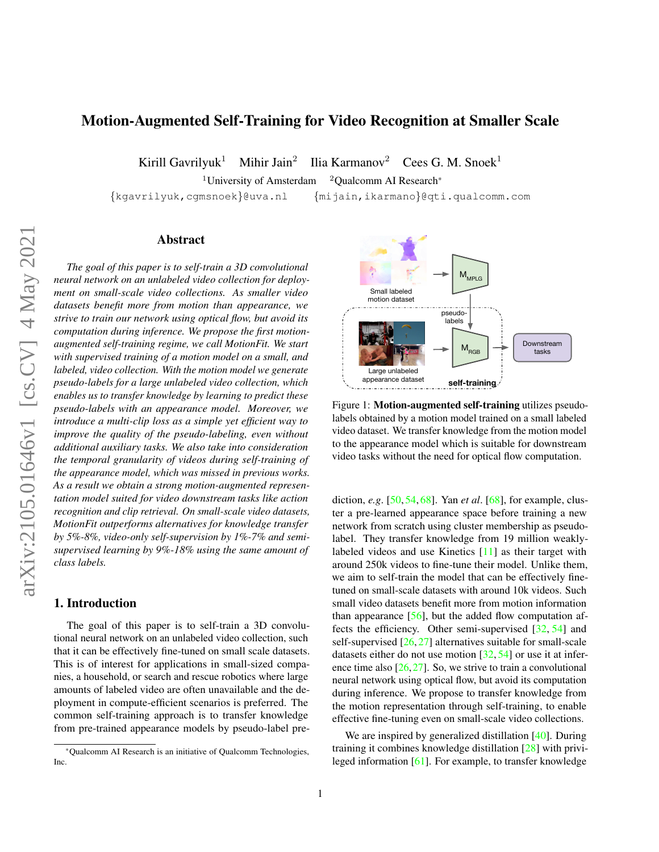## <span id="page-0-1"></span>Motion-Augmented Self-Training for Video Recognition at Smaller Scale

Kirill Gavrilyuk<sup>1</sup> Mihir Jain<sup>2</sup> Ilia Karmanov<sup>2</sup> Cees G. M. Snoek<sup>1</sup>

<sup>1</sup>University of Amsterdam  $2$ Qualcomm AI Research\*

{kgavrilyuk,cgmsnoek}@uva.nl {mijain,ikarmano}@qti.qualcomm.com

#### Abstract

*The goal of this paper is to self-train a 3D convolutional neural network on an unlabeled video collection for deployment on small-scale video collections. As smaller video datasets benefit more from motion than appearance, we strive to train our network using optical flow, but avoid its computation during inference. We propose the first motionaugmented self-training regime, we call MotionFit. We start with supervised training of a motion model on a small, and labeled, video collection. With the motion model we generate pseudo-labels for a large unlabeled video collection, which enables us to transfer knowledge by learning to predict these pseudo-labels with an appearance model. Moreover, we introduce a multi-clip loss as a simple yet efficient way to improve the quality of the pseudo-labeling, even without additional auxiliary tasks. We also take into consideration the temporal granularity of videos during self-training of the appearance model, which was missed in previous works. As a result we obtain a strong motion-augmented representation model suited for video downstream tasks like action recognition and clip retrieval. On small-scale video datasets, MotionFit outperforms alternatives for knowledge transfer by 5%-8%, video-only self-supervision by 1%-7% and semisupervised learning by 9%-18% using the same amount of class labels.*

### 1. Introduction

The goal of this paper is to self-train a 3D convolutional neural network on an unlabeled video collection, such that it can be effectively fine-tuned on small scale datasets. This is of interest for applications in small-sized companies, a household, or search and rescue robotics where large amounts of labeled video are often unavailable and the deployment in compute-efficient scenarios is preferred. The common self-training approach is to transfer knowledge from pre-trained appearance models by pseudo-label pre-

<span id="page-0-0"></span>

Figure 1: **Motion-augmented self-training** utilizes pseudolabels obtained by a motion model trained on a small labeled video dataset. We transfer knowledge from the motion model to the appearance model which is suitable for downstream video tasks without the need for optical flow computation.

diction, *e.g*. [\[50,](#page-9-0) [54,](#page-9-1) [68\]](#page-10-0). Yan *et al*. [\[68\]](#page-10-0), for example, cluster a pre-learned appearance space before training a new network from scratch using cluster membership as pseudolabel. They transfer knowledge from 19 million weaklylabeled videos and use Kinetics [\[11\]](#page-8-0) as their target with around 250k videos to fine-tune their model. Unlike them, we aim to self-train the model that can be effectively finetuned on small-scale datasets with around 10k videos. Such small video datasets benefit more from motion information than appearance  $[56]$ , but the added flow computation affects the efficiency. Other semi-supervised [\[32,](#page-9-3) [54\]](#page-9-1) and self-supervised [\[26,](#page-8-1) [27\]](#page-8-2) alternatives suitable for small-scale datasets either do not use motion  $[32, 54]$  $[32, 54]$  $[32, 54]$  or use it at inference time also  $[26, 27]$  $[26, 27]$  $[26, 27]$ . So, we strive to train a convolutional neural network using optical flow, but avoid its computation during inference. We propose to transfer knowledge from the motion representation through self-training, to enable effective fine-tuning even on small-scale video collections.

We are inspired by generalized distillation [\[40\]](#page-9-4). During training it combines knowledge distillation [\[28\]](#page-8-3) with privileged information [\[61\]](#page-9-5). For example, to transfer knowledge

<sup>\*</sup>Qualcomm AI Research is an initiative of Qualcomm Technologies, Inc.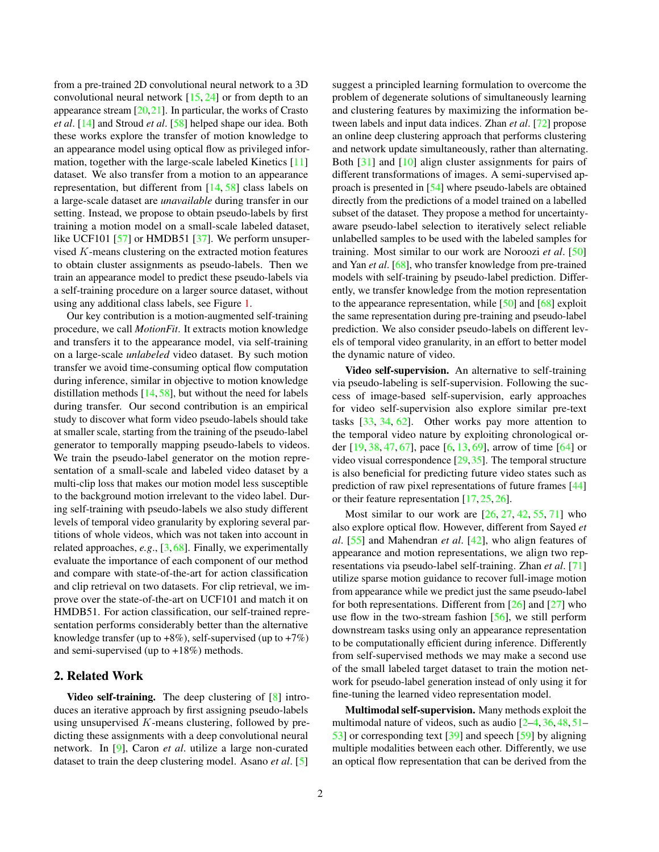<span id="page-1-0"></span>from a pre-trained 2D convolutional neural network to a 3D convolutional neural network  $[15, 24]$  $[15, 24]$  $[15, 24]$  or from depth to an appearance stream  $[20,21]$  $[20,21]$ . In particular, the works of Crasto *et al*. [\[14\]](#page-8-8) and Stroud *et al*. [\[58\]](#page-9-6) helped shape our idea. Both these works explore the transfer of motion knowledge to an appearance model using optical flow as privileged information, together with the large-scale labeled Kinetics [\[11\]](#page-8-0) dataset. We also transfer from a motion to an appearance representation, but different from [\[14,](#page-8-8) [58\]](#page-9-6) class labels on a large-scale dataset are *unavailable* during transfer in our setting. Instead, we propose to obtain pseudo-labels by first training a motion model on a small-scale labeled dataset, like UCF101 [\[57\]](#page-9-7) or HMDB51 [\[37\]](#page-9-8). We perform unsupervised K-means clustering on the extracted motion features to obtain cluster assignments as pseudo-labels. Then we train an appearance model to predict these pseudo-labels via a self-training procedure on a larger source dataset, without using any additional class labels, see Figure [1.](#page-0-0)

Our key contribution is a motion-augmented self-training procedure, we call *MotionFit*. It extracts motion knowledge and transfers it to the appearance model, via self-training on a large-scale *unlabeled* video dataset. By such motion transfer we avoid time-consuming optical flow computation during inference, similar in objective to motion knowledge distillation methods [\[14,](#page-8-8) [58\]](#page-9-6), but without the need for labels during transfer. Our second contribution is an empirical study to discover what form video pseudo-labels should take at smaller scale, starting from the training of the pseudo-label generator to temporally mapping pseudo-labels to videos. We train the pseudo-label generator on the motion representation of a small-scale and labeled video dataset by a multi-clip loss that makes our motion model less susceptible to the background motion irrelevant to the video label. During self-training with pseudo-labels we also study different levels of temporal video granularity by exploring several partitions of whole videos, which was not taken into account in related approaches, *e.g*., [\[3,](#page-8-9) [68\]](#page-10-0). Finally, we experimentally evaluate the importance of each component of our method and compare with state-of-the-art for action classification and clip retrieval on two datasets. For clip retrieval, we improve over the state-of-the-art on UCF101 and match it on HMDB51. For action classification, our self-trained representation performs considerably better than the alternative knowledge transfer (up to  $+8\%$ ), self-supervised (up to  $+7\%$ ) and semi-supervised (up to +18%) methods.

### 2. Related Work

Video self-training. The deep clustering of [\[8\]](#page-8-10) introduces an iterative approach by first assigning pseudo-labels using unsupervised  $K$ -means clustering, followed by predicting these assignments with a deep convolutional neural network. In [\[9\]](#page-8-11), Caron *et al*. utilize a large non-curated dataset to train the deep clustering model. Asano *et al*. [\[5\]](#page-8-12)

suggest a principled learning formulation to overcome the problem of degenerate solutions of simultaneously learning and clustering features by maximizing the information between labels and input data indices. Zhan *et al*. [\[72\]](#page-10-1) propose an online deep clustering approach that performs clustering and network update simultaneously, rather than alternating. Both [\[31\]](#page-9-9) and [\[10\]](#page-8-13) align cluster assignments for pairs of different transformations of images. A semi-supervised approach is presented in [\[54\]](#page-9-1) where pseudo-labels are obtained directly from the predictions of a model trained on a labelled subset of the dataset. They propose a method for uncertaintyaware pseudo-label selection to iteratively select reliable unlabelled samples to be used with the labeled samples for training. Most similar to our work are Noroozi *et al*. [\[50\]](#page-9-0) and Yan *et al*. [\[68\]](#page-10-0), who transfer knowledge from pre-trained models with self-training by pseudo-label prediction. Differently, we transfer knowledge from the motion representation to the appearance representation, while [\[50\]](#page-9-0) and [\[68\]](#page-10-0) exploit the same representation during pre-training and pseudo-label prediction. We also consider pseudo-labels on different levels of temporal video granularity, in an effort to better model the dynamic nature of video.

Video self-supervision. An alternative to self-training via pseudo-labeling is self-supervision. Following the success of image-based self-supervision, early approaches for video self-supervision also explore similar pre-text tasks [\[33,](#page-9-10) [34,](#page-9-11) [62\]](#page-9-12). Other works pay more attention to the temporal video nature by exploiting chronological order [\[19,](#page-8-14) [38,](#page-9-13) [47,](#page-9-14) [67\]](#page-10-2), pace [\[6,](#page-8-15) [13,](#page-8-16) [69\]](#page-10-3), arrow of time [\[64\]](#page-9-15) or video visual correspondence [\[29,](#page-8-17)[35\]](#page-9-16). The temporal structure is also beneficial for predicting future video states such as prediction of raw pixel representations of future frames [\[44\]](#page-9-17) or their feature representation [\[17,](#page-8-18) [25,](#page-8-19) [26\]](#page-8-1).

Most similar to our work are  $[26, 27, 42, 55, 71]$  $[26, 27, 42, 55, 71]$  $[26, 27, 42, 55, 71]$  $[26, 27, 42, 55, 71]$  $[26, 27, 42, 55, 71]$  $[26, 27, 42, 55, 71]$  $[26, 27, 42, 55, 71]$  $[26, 27, 42, 55, 71]$  $[26, 27, 42, 55, 71]$  who also explore optical flow. However, different from Sayed *et al*. [\[55\]](#page-9-19) and Mahendran *et al*. [\[42\]](#page-9-18), who align features of appearance and motion representations, we align two representations via pseudo-label self-training. Zhan *et al*. [\[71\]](#page-10-4) utilize sparse motion guidance to recover full-image motion from appearance while we predict just the same pseudo-label for both representations. Different from [\[26\]](#page-8-1) and [\[27\]](#page-8-2) who use flow in the two-stream fashion  $[56]$ , we still perform downstream tasks using only an appearance representation to be computationally efficient during inference. Differently from self-supervised methods we may make a second use of the small labeled target dataset to train the motion network for pseudo-label generation instead of only using it for fine-tuning the learned video representation model.

Multimodal self-supervision. Many methods exploit the multimodal nature of videos, such as audio [\[2–](#page-8-20)[4,](#page-8-21) [36,](#page-9-20) [48,](#page-9-21) [51–](#page-9-22) [53\]](#page-9-23) or corresponding text [\[39\]](#page-9-24) and speech [\[59\]](#page-9-25) by aligning multiple modalities between each other. Differently, we use an optical flow representation that can be derived from the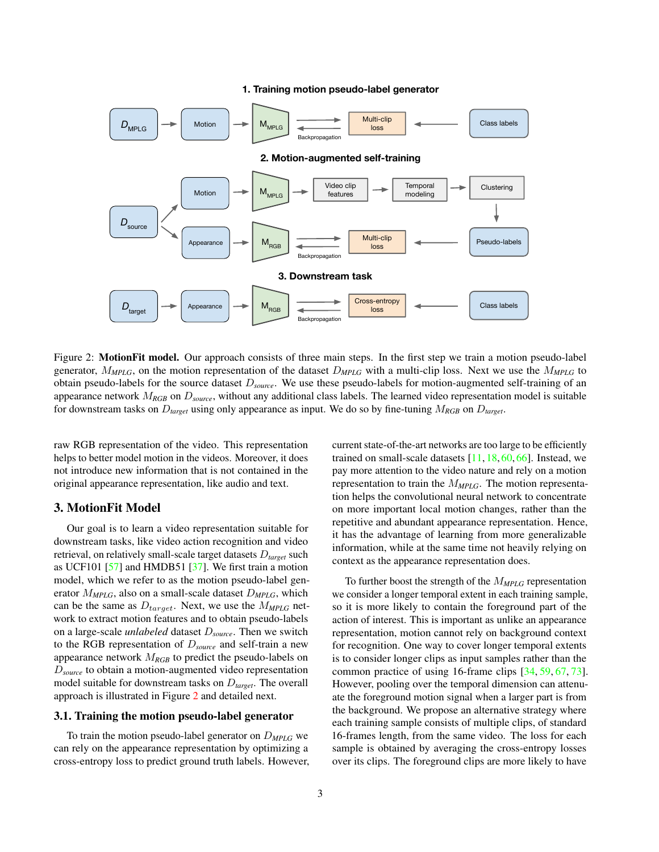#### **1. Training motion pseudo-label generator**

<span id="page-2-1"></span><span id="page-2-0"></span>

Figure 2: **MotionFit model.** Our approach consists of three main steps. In the first step we train a motion pseudo-label generator, M*MPLG*, on the motion representation of the dataset D*MPLG* with a multi-clip loss. Next we use the M*MPLG* to obtain pseudo-labels for the source dataset D*source*. We use these pseudo-labels for motion-augmented self-training of an appearance network M*RGB* on D*source*, without any additional class labels. The learned video representation model is suitable for downstream tasks on D*target* using only appearance as input. We do so by fine-tuning M*RGB* on D*target*.

raw RGB representation of the video. This representation helps to better model motion in the videos. Moreover, it does not introduce new information that is not contained in the original appearance representation, like audio and text.

#### 3. MotionFit Model

Our goal is to learn a video representation suitable for downstream tasks, like video action recognition and video retrieval, on relatively small-scale target datasets D*target* such as UCF101 [\[57\]](#page-9-7) and HMDB51 [\[37\]](#page-9-8). We first train a motion model, which we refer to as the motion pseudo-label generator M*MPLG*, also on a small-scale dataset D*MPLG*, which can be the same as  $D_{target}$ . Next, we use the  $M_{MPLG}$  network to extract motion features and to obtain pseudo-labels on a large-scale *unlabeled* dataset D*source*. Then we switch to the RGB representation of D*source* and self-train a new appearance network M*RGB* to predict the pseudo-labels on D*source* to obtain a motion-augmented video representation model suitable for downstream tasks on D*target*. The overall approach is illustrated in Figure [2](#page-2-0) and detailed next.

### 3.1. Training the motion pseudo-label generator

To train the motion pseudo-label generator on D*MPLG* we can rely on the appearance representation by optimizing a cross-entropy loss to predict ground truth labels. However, current state-of-the-art networks are too large to be efficiently trained on small-scale datasets [\[11,](#page-8-0) [18,](#page-8-22) [60,](#page-9-26) [66\]](#page-10-5). Instead, we pay more attention to the video nature and rely on a motion representation to train the M*MPLG*. The motion representation helps the convolutional neural network to concentrate on more important local motion changes, rather than the repetitive and abundant appearance representation. Hence, it has the advantage of learning from more generalizable information, while at the same time not heavily relying on context as the appearance representation does.

To further boost the strength of the  $M_{MPIG}$  representation we consider a longer temporal extent in each training sample, so it is more likely to contain the foreground part of the action of interest. This is important as unlike an appearance representation, motion cannot rely on background context for recognition. One way to cover longer temporal extents is to consider longer clips as input samples rather than the common practice of using 16-frame clips [\[34,](#page-9-11) [59,](#page-9-25) [67,](#page-10-2) [73\]](#page-10-6). However, pooling over the temporal dimension can attenuate the foreground motion signal when a larger part is from the background. We propose an alternative strategy where each training sample consists of multiple clips, of standard 16-frames length, from the same video. The loss for each sample is obtained by averaging the cross-entropy losses over its clips. The foreground clips are more likely to have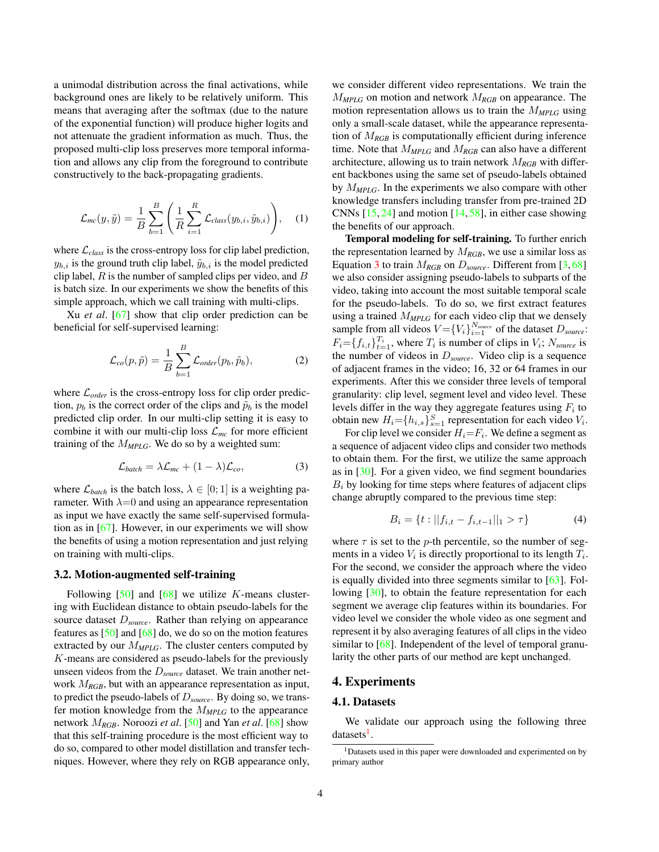<span id="page-3-3"></span>a unimodal distribution across the final activations, while background ones are likely to be relatively uniform. This means that averaging after the softmax (due to the nature of the exponential function) will produce higher logits and not attenuate the gradient information as much. Thus, the proposed multi-clip loss preserves more temporal information and allows any clip from the foreground to contribute constructively to the back-propagating gradients.

$$
\mathcal{L}_{mc}(y,\tilde{y}) = \frac{1}{B} \sum_{b=1}^{B} \left( \frac{1}{R} \sum_{i=1}^{R} \mathcal{L}_{class}(y_{b,i}, \tilde{y}_{b,i}) \right), \quad (1)
$$

where  $\mathcal{L}_{class}$  is the cross-entropy loss for clip label prediction,  $y_{b,i}$  is the ground truth clip label,  $\tilde{y}_{b,i}$  is the model predicted clip label,  $R$  is the number of sampled clips per video, and  $B$ is batch size. In our experiments we show the benefits of this simple approach, which we call training with multi-clips.

Xu *et al*. [\[67\]](#page-10-2) show that clip order prediction can be beneficial for self-supervised learning:

$$
\mathcal{L}_{co}(p,\tilde{p}) = \frac{1}{B} \sum_{b=1}^{B} \mathcal{L}_{order}(p_b, \tilde{p}_b),
$$
 (2)

where  $\mathcal{L}_{order}$  is the cross-entropy loss for clip order prediction,  $p_b$  is the correct order of the clips and  $\tilde{p}_b$  is the model predicted clip order. In our multi-clip setting it is easy to combine it with our multi-clip loss  $\mathcal{L}_{mc}$  for more efficient training of the M*MPLG*. We do so by a weighted sum:

$$
\mathcal{L}_{batch} = \lambda \mathcal{L}_{mc} + (1 - \lambda) \mathcal{L}_{co},
$$
 (3)

where  $\mathcal{L}_{batch}$  is the batch loss,  $\lambda \in [0; 1]$  is a weighting parameter. With  $\lambda=0$  and using an appearance representation as input we have exactly the same self-supervised formulation as in [\[67\]](#page-10-2). However, in our experiments we will show the benefits of using a motion representation and just relying on training with multi-clips.

#### <span id="page-3-2"></span>3.2. Motion-augmented self-training

Following  $[50]$  and  $[68]$  we utilize K-means clustering with Euclidean distance to obtain pseudo-labels for the source dataset D*source*. Rather than relying on appearance features as [\[50\]](#page-9-0) and [\[68\]](#page-10-0) do, we do so on the motion features extracted by our  $M_{MPLG}$ . The cluster centers computed by K-means are considered as pseudo-labels for the previously unseen videos from the D*source* dataset. We train another network M*RGB*, but with an appearance representation as input, to predict the pseudo-labels of D*source*. By doing so, we transfer motion knowledge from the M*MPLG* to the appearance network M*RGB*. Noroozi *et al*. [\[50\]](#page-9-0) and Yan *et al*. [\[68\]](#page-10-0) show that this self-training procedure is the most efficient way to do so, compared to other model distillation and transfer techniques. However, where they rely on RGB appearance only, we consider different video representations. We train the M*MPLG* on motion and network M*RGB* on appearance. The motion representation allows us to train the M*MPLG* using only a small-scale dataset, while the appearance representation of M*RGB* is computationally efficient during inference time. Note that M*MPLG* and M*RGB* can also have a different architecture, allowing us to train network M*RGB* with different backbones using the same set of pseudo-labels obtained by M*MPLG*. In the experiments we also compare with other knowledge transfers including transfer from pre-trained 2D CNNs  $[15, 24]$  $[15, 24]$  $[15, 24]$  and motion  $[14, 58]$  $[14, 58]$  $[14, 58]$ , in either case showing the benefits of our approach.

Temporal modeling for self-training. To further enrich the representation learned by  $M_{RGB}$ , we use a similar loss as Equation [3](#page-3-0) to train M*RGB* on D*source*. Different from [\[3,](#page-8-9) [68\]](#page-10-0) we also consider assigning pseudo-labels to subparts of the video, taking into account the most suitable temporal scale for the pseudo-labels. To do so, we first extract features using a trained M*MPLG* for each video clip that we densely sample from all videos  $V = \{V_i\}_{i=1}^{N_{source}}$  of the dataset  $D_{source}$ .  $F_i = \{f_{i,t}\}_{t=1}^{T_i}$ , where  $T_i$  is number of clips in  $V_i$ ;  $N_{source}$  is the number of videos in D*source*. Video clip is a sequence of adjacent frames in the video; 16, 32 or 64 frames in our experiments. After this we consider three levels of temporal granularity: clip level, segment level and video level. These levels differ in the way they aggregate features using  $F_i$  to obtain new  $H_i = \{h_{i,s}\}_{s=1}^S$  representation for each video  $V_i$ .

<span id="page-3-0"></span>For clip level we consider  $H_i = F_i$ . We define a segment as a sequence of adjacent video clips and consider two methods to obtain them. For the first, we utilize the same approach as in [\[30\]](#page-8-23). For a given video, we find segment boundaries  $B_i$  by looking for time steps where features of adjacent clips change abruptly compared to the previous time step:

$$
B_i = \{ t : ||f_{i,t} - f_{i,t-1}||_1 > \tau \}
$$
 (4)

where  $\tau$  is set to the *p*-th percentile, so the number of segments in a video  $V_i$  is directly proportional to its length  $T_i$ . For the second, we consider the approach where the video is equally divided into three segments similar to [\[63\]](#page-9-27). Following [\[30\]](#page-8-23), to obtain the feature representation for each segment we average clip features within its boundaries. For video level we consider the whole video as one segment and represent it by also averaging features of all clips in the video similar to [\[68\]](#page-10-0). Independent of the level of temporal granularity the other parts of our method are kept unchanged.

#### 4. Experiments

#### 4.1. Datasets

We validate our approach using the following three datasets<sup>[1](#page-3-1)</sup>.

<span id="page-3-1"></span><sup>&</sup>lt;sup>1</sup>Datasets used in this paper were downloaded and experimented on by primary author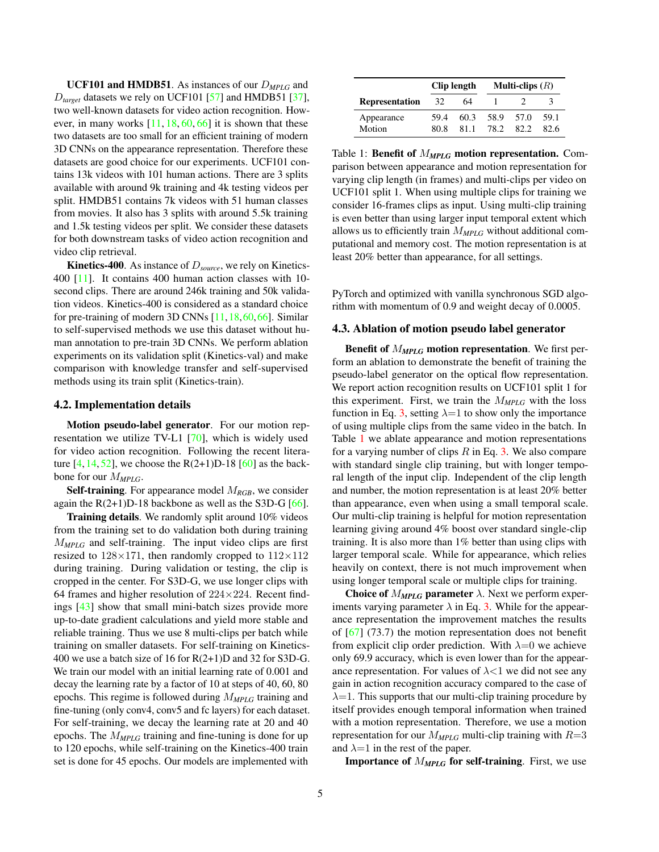<span id="page-4-1"></span>UCF101 and HMDB51. As instances of our D*MPLG* and D*target* datasets we rely on UCF101 [\[57\]](#page-9-7) and HMDB51 [\[37\]](#page-9-8), two well-known datasets for video action recognition. However, in many works  $[11, 18, 60, 66]$  $[11, 18, 60, 66]$  $[11, 18, 60, 66]$  $[11, 18, 60, 66]$  $[11, 18, 60, 66]$  $[11, 18, 60, 66]$  $[11, 18, 60, 66]$  it is shown that these two datasets are too small for an efficient training of modern 3D CNNs on the appearance representation. Therefore these datasets are good choice for our experiments. UCF101 contains 13k videos with 101 human actions. There are 3 splits available with around 9k training and 4k testing videos per split. HMDB51 contains 7k videos with 51 human classes from movies. It also has 3 splits with around 5.5k training and 1.5k testing videos per split. We consider these datasets for both downstream tasks of video action recognition and video clip retrieval.

Kinetics-400. As instance of D*source*, we rely on Kinetics-400 [\[11\]](#page-8-0). It contains 400 human action classes with 10 second clips. There are around 246k training and 50k validation videos. Kinetics-400 is considered as a standard choice for pre-training of modern 3D CNNs [\[11,](#page-8-0)[18,](#page-8-22)[60,](#page-9-26)[66\]](#page-10-5). Similar to self-supervised methods we use this dataset without human annotation to pre-train 3D CNNs. We perform ablation experiments on its validation split (Kinetics-val) and make comparison with knowledge transfer and self-supervised methods using its train split (Kinetics-train).

#### 4.2. Implementation details

Motion pseudo-label generator. For our motion representation we utilize TV-L1 [\[70\]](#page-10-7), which is widely used for video action recognition. Following the recent literature  $[4, 14, 52]$  $[4, 14, 52]$  $[4, 14, 52]$  $[4, 14, 52]$  $[4, 14, 52]$ , we choose the R(2+1)D-18  $[60]$  as the backbone for our M*MPLG*.

Self-training. For appearance model M*RGB*, we consider again the  $R(2+1)D-18$  backbone as well as the S3D-G [\[66\]](#page-10-5).

Training details. We randomly split around 10% videos from the training set to do validation both during training M*MPLG* and self-training. The input video clips are first resized to  $128\times171$ , then randomly cropped to  $112\times112$ during training. During validation or testing, the clip is cropped in the center. For S3D-G, we use longer clips with 64 frames and higher resolution of  $224\times224$ . Recent findings [\[43\]](#page-9-29) show that small mini-batch sizes provide more up-to-date gradient calculations and yield more stable and reliable training. Thus we use 8 multi-clips per batch while training on smaller datasets. For self-training on Kinetics-400 we use a batch size of 16 for R(2+1)D and 32 for S3D-G. We train our model with an initial learning rate of 0.001 and decay the learning rate by a factor of 10 at steps of 40, 60, 80 epochs. This regime is followed during M*MPLG* training and fine-tuning (only conv4, conv5 and fc layers) for each dataset. For self-training, we decay the learning rate at 20 and 40 epochs. The M*MPLG* training and fine-tuning is done for up to 120 epochs, while self-training on the Kinetics-400 train set is done for 45 epochs. Our models are implemented with

<span id="page-4-0"></span>

|                       |              | Clip length  | Multi-clips $(R)$ |       |              |  |
|-----------------------|--------------|--------------|-------------------|-------|--------------|--|
| <b>Representation</b> | 32           | 64           |                   |       |              |  |
| Appearance<br>Motion  | 59.4<br>80.8 | 60.3<br>81.1 | 58.9 57.0<br>78.2 | -82.2 | 59.1<br>82.6 |  |

Table 1: Benefit of M*MPLG* motion representation. Comparison between appearance and motion representation for varying clip length (in frames) and multi-clips per video on UCF101 split 1. When using multiple clips for training we consider 16-frames clips as input. Using multi-clip training is even better than using larger input temporal extent which allows us to efficiently train M*MPLG* without additional computational and memory cost. The motion representation is at least 20% better than appearance, for all settings.

PyTorch and optimized with vanilla synchronous SGD algorithm with momentum of 0.9 and weight decay of 0.0005.

#### 4.3. Ablation of motion pseudo label generator

Benefit of M*MPLG* motion representation. We first perform an ablation to demonstrate the benefit of training the pseudo-label generator on the optical flow representation. We report action recognition results on UCF101 split 1 for this experiment. First, we train the M*MPLG* with the loss function in Eq. [3,](#page-3-0) setting  $\lambda = 1$  to show only the importance of using multiple clips from the same video in the batch. In Table [1](#page-4-0) we ablate appearance and motion representations for a varying number of clips  $R$  in Eq. [3.](#page-3-0) We also compare with standard single clip training, but with longer temporal length of the input clip. Independent of the clip length and number, the motion representation is at least 20% better than appearance, even when using a small temporal scale. Our multi-clip training is helpful for motion representation learning giving around 4% boost over standard single-clip training. It is also more than 1% better than using clips with larger temporal scale. While for appearance, which relies heavily on context, there is not much improvement when using longer temporal scale or multiple clips for training.

**Choice of**  $M_{MPLG}$  **parameter**  $\lambda$ . Next we perform experiments varying parameter  $\lambda$  in Eq. [3.](#page-3-0) While for the appearance representation the improvement matches the results of  $[67]$  (73.7) the motion representation does not benefit from explicit clip order prediction. With  $\lambda=0$  we achieve only 69.9 accuracy, which is even lower than for the appearance representation. For values of  $\lambda$ <1 we did not see any gain in action recognition accuracy compared to the case of  $\lambda=1$ . This supports that our multi-clip training procedure by itself provides enough temporal information when trained with a motion representation. Therefore, we use a motion representation for our  $M_{MPLG}$  multi-clip training with  $R=3$ and  $\lambda=1$  in the rest of the paper.

Importance of M*MPLG* for self-training. First, we use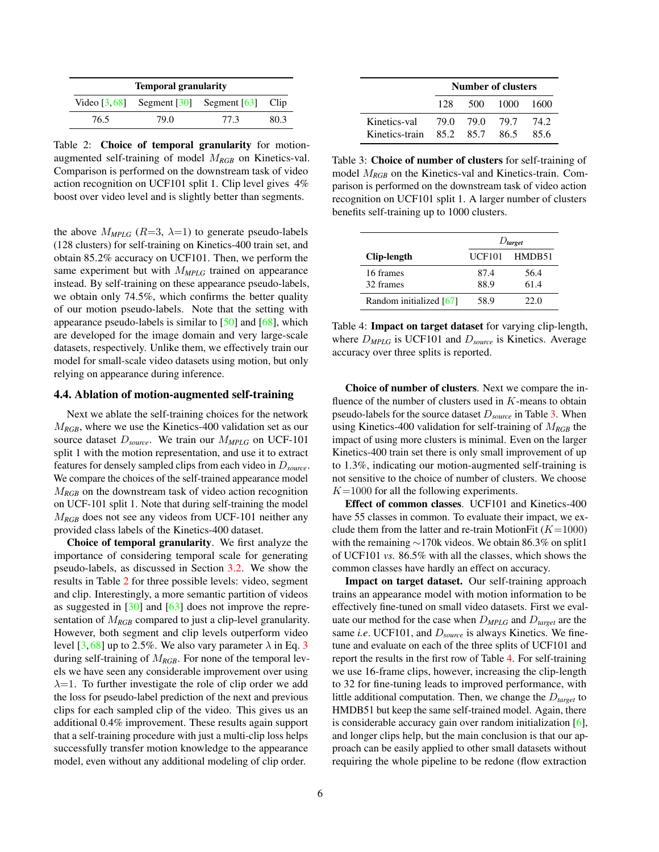<span id="page-5-3"></span><span id="page-5-0"></span>

| <b>Temporal granularity</b> |                                                                                   |      |      |  |  |  |  |
|-----------------------------|-----------------------------------------------------------------------------------|------|------|--|--|--|--|
|                             | Video $\lceil 3, 68 \rceil$ Segment $\lceil 30 \rceil$ Segment $\lceil 63 \rceil$ |      | Clip |  |  |  |  |
| 76.5                        | 79.0                                                                              | 77.3 | 80.3 |  |  |  |  |

Table 2: Choice of temporal granularity for motionaugmented self-training of model M*RGB* on Kinetics-val. Comparison is performed on the downstream task of video action recognition on UCF101 split 1. Clip level gives 4% boost over video level and is slightly better than segments.

the above  $M_{MPLG}$  ( $R=3$ ,  $\lambda=1$ ) to generate pseudo-labels (128 clusters) for self-training on Kinetics-400 train set, and obtain 85.2% accuracy on UCF101. Then, we perform the same experiment but with  $M_{MPLG}$  trained on appearance instead. By self-training on these appearance pseudo-labels, we obtain only 74.5%, which confirms the better quality of our motion pseudo-labels. Note that the setting with appearance pseudo-labels is similar to [\[50\]](#page-9-0) and [\[68\]](#page-10-0), which are developed for the image domain and very large-scale datasets, respectively. Unlike them, we effectively train our model for small-scale video datasets using motion, but only relying on appearance during inference.

### 4.4. Ablation of motion-augmented self-training

Next we ablate the self-training choices for the network M*RGB*, where we use the Kinetics-400 validation set as our source dataset D*source*. We train our M*MPLG* on UCF-101 split 1 with the motion representation, and use it to extract features for densely sampled clips from each video in D*source*. We compare the choices of the self-trained appearance model M*RGB* on the downstream task of video action recognition on UCF-101 split 1. Note that during self-training the model M*RGB* does not see any videos from UCF-101 neither any provided class labels of the Kinetics-400 dataset.

Choice of temporal granularity. We first analyze the importance of considering temporal scale for generating pseudo-labels, as discussed in Section [3.2.](#page-3-2) We show the results in Table [2](#page-5-0) for three possible levels: video, segment and clip. Interestingly, a more semantic partition of videos as suggested in [\[30\]](#page-8-23) and [\[63\]](#page-9-27) does not improve the representation of  $M_{RGB}$  compared to just a clip-level granularity. However, both segment and clip levels outperform video level  $[3, 68]$  $[3, 68]$  $[3, 68]$  up to 2.5%. We also vary parameter  $\lambda$  in Eq. [3](#page-3-0) during self-training of M*RGB*. For none of the temporal levels we have seen any considerable improvement over using  $\lambda=1$ . To further investigate the role of clip order we add the loss for pseudo-label prediction of the next and previous clips for each sampled clip of the video. This gives us an additional 0.4% improvement. These results again support that a self-training procedure with just a multi-clip loss helps successfully transfer motion knowledge to the appearance model, even without any additional modeling of clip order.

<span id="page-5-1"></span>

|                | <b>Number of clusters</b> |                |          |       |  |  |
|----------------|---------------------------|----------------|----------|-------|--|--|
|                | 128.                      |                | 500 1000 | -1600 |  |  |
| Kinetics-val   |                           | 79.0 79.0 79.7 |          | 74.2  |  |  |
| Kinetics-train |                           | 85.2 85.7      | 86.5     | 85.6  |  |  |

Table 3: Choice of number of clusters for self-training of model M*RGB* on the Kinetics-val and Kinetics-train. Comparison is performed on the downstream task of video action recognition on UCF101 split 1. A larger number of clusters benefits self-training up to 1000 clusters.

<span id="page-5-2"></span>

|                         | $D_{\text{target}}$ |        |  |  |  |
|-------------------------|---------------------|--------|--|--|--|
| Clip-length             | <b>UCF101</b>       | HMDB51 |  |  |  |
| 16 frames               | 87.4                | 56.4   |  |  |  |
| 32 frames               | 88.9                | 61.4   |  |  |  |
| Random initialized [67] | 58.9                | 22.0   |  |  |  |

Table 4: Impact on target dataset for varying clip-length, where D*MPLG* is UCF101 and D*source* is Kinetics. Average accuracy over three splits is reported.

Choice of number of clusters. Next we compare the influence of the number of clusters used in  $K$ -means to obtain pseudo-labels for the source dataset D*source* in Table [3.](#page-5-1) When using Kinetics-400 validation for self-training of M*RGB* the impact of using more clusters is minimal. Even on the larger Kinetics-400 train set there is only small improvement of up to 1.3%, indicating our motion-augmented self-training is not sensitive to the choice of number of clusters. We choose  $K=1000$  for all the following experiments.

Effect of common classes. UCF101 and Kinetics-400 have 55 classes in common. To evaluate their impact, we exclude them from the latter and re-train MotionFit  $(K=1000)$ with the remaining ∼170k videos. We obtain 86.3% on split1 of UCF101 *vs.* 86.5% with all the classes, which shows the common classes have hardly an effect on accuracy.

Impact on target dataset. Our self-training approach trains an appearance model with motion information to be effectively fine-tuned on small video datasets. First we evaluate our method for the case when D*MPLG* and D*target* are the same *i.e*. UCF101, and D*source* is always Kinetics. We finetune and evaluate on each of the three splits of UCF101 and report the results in the first row of Table [4.](#page-5-2) For self-training we use 16-frame clips, however, increasing the clip-length to 32 for fine-tuning leads to improved performance, with little additional computation. Then, we change the D*target* to HMDB51 but keep the same self-trained model. Again, there is considerable accuracy gain over random initialization [\[6\]](#page-8-15), and longer clips help, but the main conclusion is that our approach can be easily applied to other small datasets without requiring the whole pipeline to be redone (flow extraction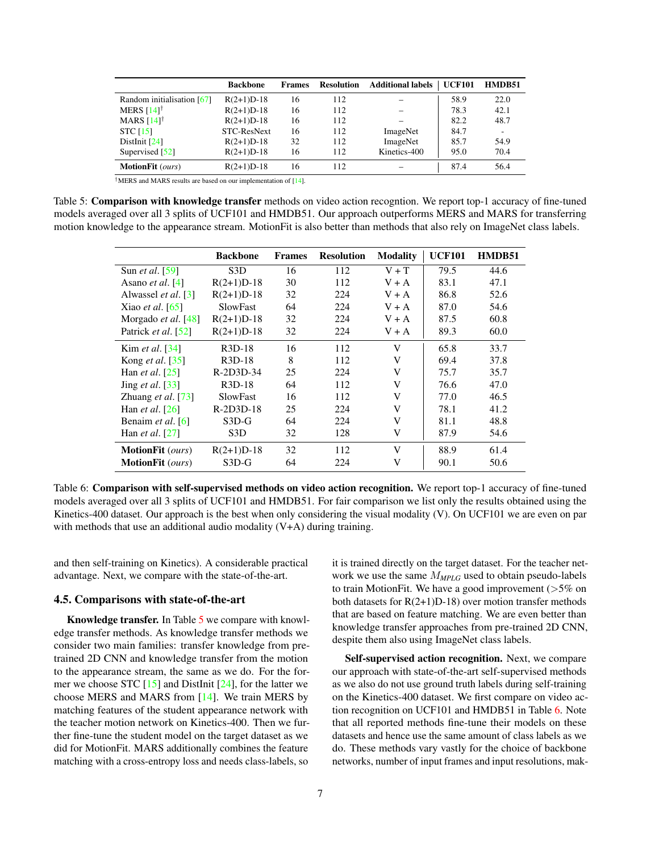<span id="page-6-2"></span><span id="page-6-0"></span>

|                            | <b>Backbone</b> | <b>Frames</b> | <b>Resolution</b> | <b>Additional labels</b> | <b>UCF101</b> | HMDB51                   |
|----------------------------|-----------------|---------------|-------------------|--------------------------|---------------|--------------------------|
| Random initialisation [67] | $R(2+1)D-18$    | 16            | 112               |                          | 58.9          | 22.0                     |
| MERS $[14]$ <sup>†</sup>   | $R(2+1)D-18$    | 16            | 112               |                          | 78.3          | 42.1                     |
| MARS $[14]^\dagger$        | $R(2+1)D-18$    | 16            | 112               |                          | 82.2          | 48.7                     |
| <b>STC</b> [15]            | STC-ResNext     | 16            | 112               | ImageNet                 | 84.7          | $\overline{\phantom{a}}$ |
| Dist $Init$ [24]           | $R(2+1)D-18$    | 32            | 112               | ImageNet                 | 85.7          | 54.9                     |
| Supervised [52]            | $R(2+1)D-18$    | 16            | 112               | Kinetics-400             | 95.0          | 70.4                     |
| <b>MotionFit</b> (ours)    | $R(2+1)D-18$    | 16            | 112               |                          | 87.4          | 56.4                     |

†MERS and MARS results are based on our implementation of [\[14\]](#page-8-8).

<span id="page-6-1"></span>Table 5: Comparison with knowledge transfer methods on video action recogntion. We report top-1 accuracy of fine-tuned models averaged over all 3 splits of UCF101 and HMDB51. Our approach outperforms MERS and MARS for transferring motion knowledge to the appearance stream. MotionFit is also better than methods that also rely on ImageNet class labels.

|                                      | <b>Backbone</b>     | <b>Frames</b> | <b>Resolution</b> | <b>Modality</b> | <b>UCF101</b> | HMDB51 |
|--------------------------------------|---------------------|---------------|-------------------|-----------------|---------------|--------|
| Sun <i>et al.</i> [59]               | S <sub>3</sub> D    | 16            | 112               | $V + T$         | 79.5          | 44.6   |
| Asano <i>et al.</i> [4]              | $R(2+1)D-18$        | 30            | 112               | $V + A$         | 83.1          | 47.1   |
| Alwassel et al. [3]                  | $R(2+1)D-18$        | 32            | 224               | $V + A$         | 86.8          | 52.6   |
| Xiao <i>et al.</i> $[65]$            | <b>SlowFast</b>     | 64            | 224               | $V + A$         | 87.0          | 54.6   |
| Morgado <i>et al.</i> $[48]$         | $R(2+1)D-18$        | 32            | 224               | $V + A$         | 87.5          | 60.8   |
| Patrick et al. [52]                  | $R(2+1)D-18$        | 32            | 224               | $V + A$         | 89.3          | 60.0   |
| Kim <i>et al.</i> [34]               | R <sub>3</sub> D-18 | 16            | 112               | V               | 65.8          | 33.7   |
| Kong <i>et al.</i> [35]              | $R3D-18$            | 8             | 112               | V               | 69.4          | 37.8   |
| Han <i>et al.</i> $\lceil 25 \rceil$ | R-2D3D-34           | 25            | 224               | V               | 75.7          | 35.7   |
| Jing et al. [33]                     | $R3D-18$            | 64            | 112               | V               | 76.6          | 47.0   |
| Zhuang et al. [73]                   | <b>SlowFast</b>     | 16            | 112               | V               | 77.0          | 46.5   |
| Han <i>et al.</i> $\lceil 26 \rceil$ | $R-2D3D-18$         | 25            | 224               | V               | 78.1          | 41.2   |
| Benaim et al. [6]                    | $S3D-G$             | 64            | 224               | V               | 81.1          | 48.8   |
| Han <i>et al.</i> $[27]$             | S <sub>3</sub> D    | 32            | 128               | V               | 87.9          | 54.6   |
| <b>MotionFit</b> ( <i>ours</i> )     | $R(2+1)D-18$        | 32            | 112               | V               | 88.9          | 61.4   |
| <b>MotionFit</b> ( <i>ours</i> )     | $S3D-G$             | 64            | 224               | V               | 90.1          | 50.6   |

Table 6: Comparison with self-supervised methods on video action recognition. We report top-1 accuracy of fine-tuned models averaged over all 3 splits of UCF101 and HMDB51. For fair comparison we list only the results obtained using the Kinetics-400 dataset. Our approach is the best when only considering the visual modality (V). On UCF101 we are even on par with methods that use an additional audio modality (V+A) during training.

and then self-training on Kinetics). A considerable practical advantage. Next, we compare with the state-of-the-art.

### 4.5. Comparisons with state-of-the-art

Knowledge transfer. In Table [5](#page-6-0) we compare with knowledge transfer methods. As knowledge transfer methods we consider two main families: transfer knowledge from pretrained 2D CNN and knowledge transfer from the motion to the appearance stream, the same as we do. For the former we choose STC  $[15]$  and DistInit  $[24]$ , for the latter we choose MERS and MARS from [\[14\]](#page-8-8). We train MERS by matching features of the student appearance network with the teacher motion network on Kinetics-400. Then we further fine-tune the student model on the target dataset as we did for MotionFit. MARS additionally combines the feature matching with a cross-entropy loss and needs class-labels, so

it is trained directly on the target dataset. For the teacher network we use the same M*MPLG* used to obtain pseudo-labels to train MotionFit. We have a good improvement  $($ >5% on both datasets for  $R(2+1)D-18$ ) over motion transfer methods that are based on feature matching. We are even better than knowledge transfer approaches from pre-trained 2D CNN, despite them also using ImageNet class labels.

Self-supervised action recognition. Next, we compare our approach with state-of-the-art self-supervised methods as we also do not use ground truth labels during self-training on the Kinetics-400 dataset. We first compare on video action recognition on UCF101 and HMDB51 in Table [6.](#page-6-1) Note that all reported methods fine-tune their models on these datasets and hence use the same amount of class labels as we do. These methods vary vastly for the choice of backbone networks, number of input frames and input resolutions, mak-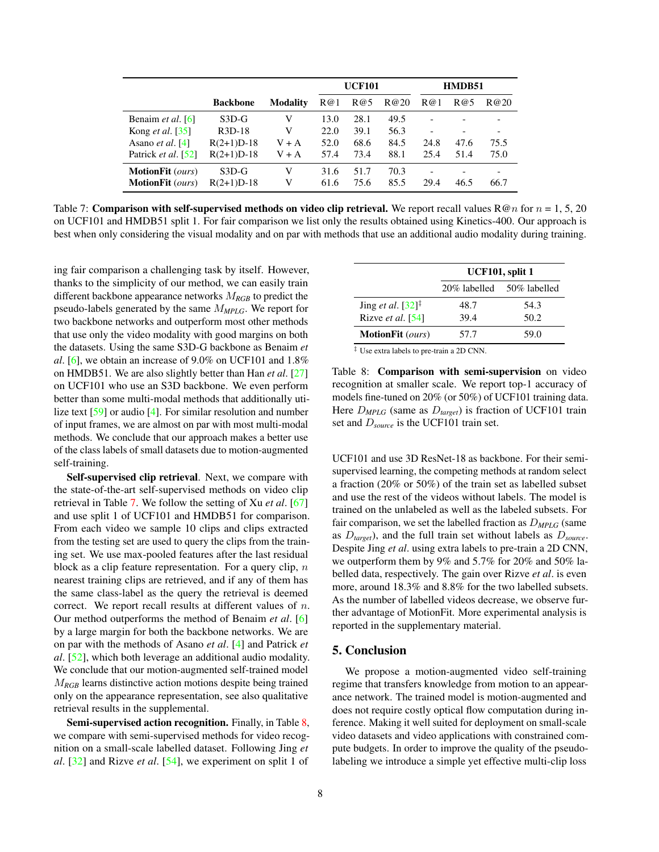<span id="page-7-2"></span><span id="page-7-0"></span>

|                                  |                 |          |      | <b>UCF101</b> |      |                          | HMDB51 |      |  |
|----------------------------------|-----------------|----------|------|---------------|------|--------------------------|--------|------|--|
|                                  | <b>Backbone</b> | Modalitv | R@1  | R@5           | R@20 | R@1                      | R@5    | R@20 |  |
| Benaim et al. [6]                | $S3D-G$         | V        | 13.0 | 28.1          | 49.5 | $\overline{\phantom{0}}$ |        |      |  |
| Kong <i>et al.</i> [35]          | $R3D-18$        | V        | 22.0 | 39.1          | 56.3 |                          |        |      |  |
| Asano <i>et al.</i> [4]          | $R(2+1)D-18$    | $V + A$  | 52.0 | 68.6          | 84.5 | 24.8                     | 47.6   | 75.5 |  |
| Patrick et al. [52]              | $R(2+1)D-18$    | $V + A$  | 57.4 | 73.4          | 88.1 | 25.4                     | 51.4   | 75.0 |  |
| <b>MotionFit</b> ( <i>ours</i> ) | $S3D-G$         | V        | 31.6 | 51.7          | 70.3 |                          |        |      |  |
| <b>MotionFit</b> ( <i>ours</i> ) | $R(2+1)D-18$    | V        | 61.6 | 75.6          | 85.5 | 29.4                     | 46.5   | 66.7 |  |

Table 7: **Comparison with self-supervised methods on video clip retrieval.** We report recall values  $\mathbb{R} \mathcal{Q}_n$  for  $n = 1, 5, 20$ on UCF101 and HMDB51 split 1. For fair comparison we list only the results obtained using Kinetics-400. Our approach is best when only considering the visual modality and on par with methods that use an additional audio modality during training.

ing fair comparison a challenging task by itself. However, thanks to the simplicity of our method, we can easily train different backbone appearance networks M*RGB* to predict the pseudo-labels generated by the same M*MPLG*. We report for two backbone networks and outperform most other methods that use only the video modality with good margins on both the datasets. Using the same S3D-G backbone as Benaim *et al*. [\[6\]](#page-8-15), we obtain an increase of 9.0% on UCF101 and 1.8% on HMDB51. We are also slightly better than Han *et al*. [\[27\]](#page-8-2) on UCF101 who use an S3D backbone. We even perform better than some multi-modal methods that additionally utilize text [\[59\]](#page-9-25) or audio [\[4\]](#page-8-21). For similar resolution and number of input frames, we are almost on par with most multi-modal methods. We conclude that our approach makes a better use of the class labels of small datasets due to motion-augmented self-training.

Self-supervised clip retrieval. Next, we compare with the state-of-the-art self-supervised methods on video clip retrieval in Table [7.](#page-7-0) We follow the setting of Xu *et al*. [\[67\]](#page-10-2) and use split 1 of UCF101 and HMDB51 for comparison. From each video we sample 10 clips and clips extracted from the testing set are used to query the clips from the training set. We use max-pooled features after the last residual block as a clip feature representation. For a query clip,  $n$ nearest training clips are retrieved, and if any of them has the same class-label as the query the retrieval is deemed correct. We report recall results at different values of n. Our method outperforms the method of Benaim *et al*. [\[6\]](#page-8-15) by a large margin for both the backbone networks. We are on par with the methods of Asano *et al*. [\[4\]](#page-8-21) and Patrick *et al*. [\[52\]](#page-9-28), which both leverage an additional audio modality. We conclude that our motion-augmented self-trained model M*RGB* learns distinctive action motions despite being trained only on the appearance representation, see also qualitative retrieval results in the supplemental.

Semi-supervised action recognition. Finally, in Table [8,](#page-7-1) we compare with semi-supervised methods for video recognition on a small-scale labelled dataset. Following Jing *et al*. [\[32\]](#page-9-3) and Rizve *et al*. [\[54\]](#page-9-1), we experiment on split 1 of

<span id="page-7-1"></span>

|                                  | UCF101, split 1 |              |  |  |  |  |
|----------------------------------|-----------------|--------------|--|--|--|--|
|                                  | 20% labelled    | 50% labelled |  |  |  |  |
| Jing et al. $[32]$ <sup>‡</sup>  | 48.7            | 54.3         |  |  |  |  |
| Rizve et al. [54]                | 39.4            | 50.2         |  |  |  |  |
| <b>MotionFit</b> ( <i>ours</i> ) | 57.7            | 59.0         |  |  |  |  |

‡ Use extra labels to pre-train a 2D CNN.

Table 8: Comparison with semi-supervision on video recognition at smaller scale. We report top-1 accuracy of models fine-tuned on 20% (or 50%) of UCF101 training data. Here D*MPLG* (same as D*target*) is fraction of UCF101 train set and D*source* is the UCF101 train set.

UCF101 and use 3D ResNet-18 as backbone. For their semisupervised learning, the competing methods at random select a fraction (20% or 50%) of the train set as labelled subset and use the rest of the videos without labels. The model is trained on the unlabeled as well as the labeled subsets. For fair comparison, we set the labelled fraction as D*MPLG* (same as D*target*), and the full train set without labels as D*source*. Despite Jing *et al*. using extra labels to pre-train a 2D CNN, we outperform them by 9% and 5.7% for 20% and 50% labelled data, respectively. The gain over Rizve *et al*. is even more, around 18.3% and 8.8% for the two labelled subsets. As the number of labelled videos decrease, we observe further advantage of MotionFit. More experimental analysis is reported in the supplementary material.

### 5. Conclusion

We propose a motion-augmented video self-training regime that transfers knowledge from motion to an appearance network. The trained model is motion-augmented and does not require costly optical flow computation during inference. Making it well suited for deployment on small-scale video datasets and video applications with constrained compute budgets. In order to improve the quality of the pseudolabeling we introduce a simple yet effective multi-clip loss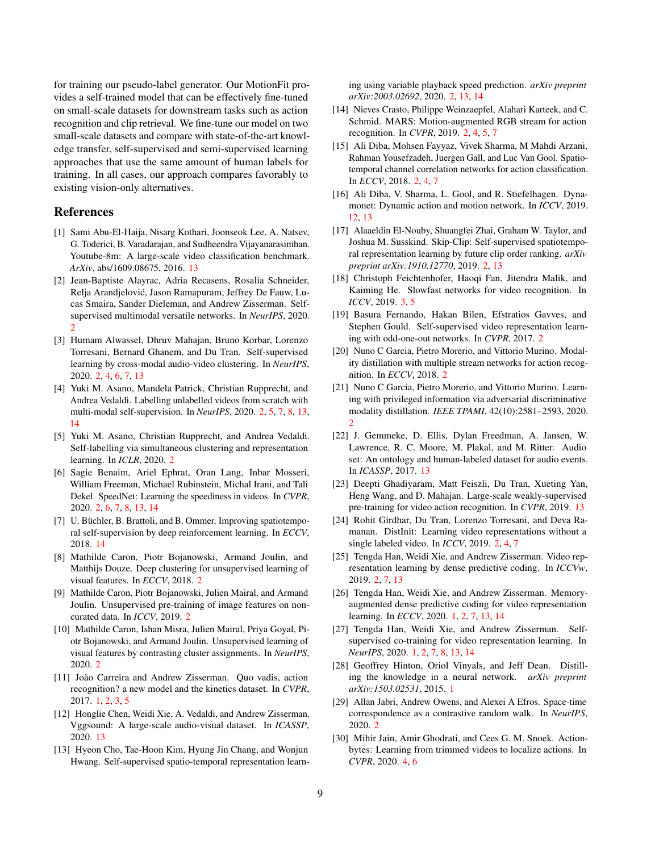for training our pseudo-label generator. Our MotionFit provides a self-trained model that can be effectively fine-tuned on small-scale datasets for downstream tasks such as action recognition and clip retrieval. We fine-tune our model on two small-scale datasets and compare with state-of-the-art knowledge transfer, self-supervised and semi-supervised learning approaches that use the same amount of human labels for training. In all cases, our approach compares favorably to existing vision-only alternatives.

### References

- <span id="page-8-28"></span>[1] Sami Abu-El-Haija, Nisarg Kothari, Joonseok Lee, A. Natsev, G. Toderici, B. Varadarajan, and Sudheendra Vijayanarasimhan. Youtube-8m: A large-scale video classification benchmark. *ArXiv*, abs/1609.08675, 2016. [13](#page-12-0)
- <span id="page-8-20"></span>[2] Jean-Baptiste Alayrac, Adria Recasens, Rosalia Schneider, Relja Arandjelovic, Jason Ramapuram, Jeffrey De Fauw, Lu- ´ cas Smaira, Sander Dieleman, and Andrew Zisserman. Selfsupervised multimodal versatile networks. In *NeurIPS*, 2020.  $\mathcal{D}$
- <span id="page-8-9"></span>[3] Humam Alwassel, Dhruv Mahajan, Bruno Korbar, Lorenzo Torresani, Bernard Ghanem, and Du Tran. Self-supervised learning by cross-modal audio-video clustering. In *NeurIPS*, 2020. [2,](#page-1-0) [4,](#page-3-3) [6,](#page-5-3) [7,](#page-6-2) [13](#page-12-0)
- <span id="page-8-21"></span>[4] Yuki M. Asano, Mandela Patrick, Christian Rupprecht, and Andrea Vedaldi. Labelling unlabelled videos from scratch with multi-modal self-supervision. In *NeurIPS*, 2020. [2,](#page-1-0) [5,](#page-4-1) [7,](#page-6-2) [8,](#page-7-2) [13,](#page-12-0) [14](#page-13-0)
- <span id="page-8-12"></span>[5] Yuki M. Asano, Christian Rupprecht, and Andrea Vedaldi. Self-labelling via simultaneous clustering and representation learning. In *ICLR*, 2020. [2](#page-1-0)
- <span id="page-8-15"></span>[6] Sagie Benaim, Ariel Ephrat, Oran Lang, Inbar Mosseri, William Freeman, Michael Rubinstein, Michal Irani, and Tali Dekel. SpeedNet: Learning the speediness in videos. In *CVPR*, 2020. [2,](#page-1-0) [6,](#page-5-3) [7,](#page-6-2) [8,](#page-7-2) [13,](#page-12-0) [14](#page-13-0)
- <span id="page-8-29"></span>[7] U. Büchler, B. Brattoli, and B. Ommer. Improving spatiotemporal self-supervision by deep reinforcement learning. In *ECCV*, 2018. [14](#page-13-0)
- <span id="page-8-10"></span>[8] Mathilde Caron, Piotr Bojanowski, Armand Joulin, and Matthijs Douze. Deep clustering for unsupervised learning of visual features. In *ECCV*, 2018. [2](#page-1-0)
- <span id="page-8-11"></span>[9] Mathilde Caron, Piotr Bojanowski, Julien Mairal, and Armand Joulin. Unsupervised pre-training of image features on noncurated data. In *ICCV*, 2019. [2](#page-1-0)
- <span id="page-8-13"></span>[10] Mathilde Caron, Ishan Misra, Julien Mairal, Priya Goyal, Piotr Bojanowski, and Armand Joulin. Unsupervised learning of visual features by contrasting cluster assignments. In *NeurIPS*, 2020. [2](#page-1-0)
- <span id="page-8-0"></span>[11] João Carreira and Andrew Zisserman. Quo vadis, action recognition? a new model and the kinetics dataset. In *CVPR*, 2017. [1,](#page-0-1) [2,](#page-1-0) [3,](#page-2-1) [5](#page-4-1)
- <span id="page-8-25"></span>[12] Honglie Chen, Weidi Xie, A. Vedaldi, and Andrew Zisserman. Vggsound: A large-scale audio-visual dataset. In *ICASSP*, 2020. [13](#page-12-0)
- <span id="page-8-16"></span>[13] Hyeon Cho, Tae-Hoon Kim, Hyung Jin Chang, and Wonjun Hwang. Self-supervised spatio-temporal representation learn-

ing using variable playback speed prediction. *arXiv preprint arXiv:2003.02692*, 2020. [2,](#page-1-0) [13,](#page-12-0) [14](#page-13-0)

- <span id="page-8-8"></span>[14] Nieves Crasto, Philippe Weinzaepfel, Alahari Karteek, and C. Schmid. MARS: Motion-augmented RGB stream for action recognition. In *CVPR*, 2019. [2,](#page-1-0) [4,](#page-3-3) [5,](#page-4-1) [7](#page-6-2)
- <span id="page-8-4"></span>[15] Ali Diba, Mohsen Fayyaz, Vivek Sharma, M Mahdi Arzani, Rahman Yousefzadeh, Juergen Gall, and Luc Van Gool. Spatiotemporal channel correlation networks for action classification. In *ECCV*, 2018. [2,](#page-1-0) [4,](#page-3-3) [7](#page-6-2)
- <span id="page-8-24"></span>[16] Ali Diba, V. Sharma, L. Gool, and R. Stiefelhagen. Dynamonet: Dynamic action and motion network. In *ICCV*, 2019. [12,](#page-11-0) [13](#page-12-0)
- <span id="page-8-18"></span>[17] Alaaeldin El-Nouby, Shuangfei Zhai, Graham W. Taylor, and Joshua M. Susskind. Skip-Clip: Self-supervised spatiotemporal representation learning by future clip order ranking. *arXiv preprint arXiv:1910.12770*, 2019. [2,](#page-1-0) [13](#page-12-0)
- <span id="page-8-22"></span>[18] Christoph Feichtenhofer, Haoqi Fan, Jitendra Malik, and Kaiming He. Slowfast networks for video recognition. In *ICCV*, 2019. [3,](#page-2-1) [5](#page-4-1)
- <span id="page-8-14"></span>[19] Basura Fernando, Hakan Bilen, Efstratios Gavves, and Stephen Gould. Self-supervised video representation learning with odd-one-out networks. In *CVPR*, 2017. [2](#page-1-0)
- <span id="page-8-6"></span>[20] Nuno C Garcia, Pietro Morerio, and Vittorio Murino. Modality distillation with multiple stream networks for action recognition. In *ECCV*, 2018. [2](#page-1-0)
- <span id="page-8-7"></span>[21] Nuno C Garcia, Pietro Morerio, and Vittorio Murino. Learning with privileged information via adversarial discriminative modality distillation. *IEEE TPAMI*, 42(10):2581–2593, 2020.  $\mathfrak{D}$
- <span id="page-8-26"></span>[22] J. Gemmeke, D. Ellis, Dylan Freedman, A. Jansen, W. Lawrence, R. C. Moore, M. Plakal, and M. Ritter. Audio set: An ontology and human-labeled dataset for audio events. In *ICASSP*, 2017. [13](#page-12-0)
- <span id="page-8-27"></span>[23] Deepti Ghadiyaram, Matt Feiszli, Du Tran, Xueting Yan, Heng Wang, and D. Mahajan. Large-scale weakly-supervised pre-training for video action recognition. In *CVPR*, 2019. [13](#page-12-0)
- <span id="page-8-5"></span>[24] Rohit Girdhar, Du Tran, Lorenzo Torresani, and Deva Ramanan. DistInit: Learning video representations without a single labeled video. In *ICCV*, 2019. [2,](#page-1-0) [4,](#page-3-3) [7](#page-6-2)
- <span id="page-8-19"></span>[25] Tengda Han, Weidi Xie, and Andrew Zisserman. Video representation learning by dense predictive coding. In *ICCVw*, 2019. [2,](#page-1-0) [7,](#page-6-2) [13](#page-12-0)
- <span id="page-8-1"></span>[26] Tengda Han, Weidi Xie, and Andrew Zisserman. Memoryaugmented dense predictive coding for video representation learning. In *ECCV*, 2020. [1,](#page-0-1) [2,](#page-1-0) [7,](#page-6-2) [13,](#page-12-0) [14](#page-13-0)
- <span id="page-8-2"></span>[27] Tengda Han, Weidi Xie, and Andrew Zisserman. Selfsupervised co-training for video representation learning. In *NeurIPS*, 2020. [1,](#page-0-1) [2,](#page-1-0) [7,](#page-6-2) [8,](#page-7-2) [13,](#page-12-0) [14](#page-13-0)
- <span id="page-8-3"></span>[28] Geoffrey Hinton, Oriol Vinyals, and Jeff Dean. Distilling the knowledge in a neural network. *arXiv preprint arXiv:1503.02531*, 2015. [1](#page-0-1)
- <span id="page-8-17"></span>[29] Allan Jabri, Andrew Owens, and Alexei A Efros. Space-time correspondence as a contrastive random walk. In *NeurIPS*, 2020. [2](#page-1-0)
- <span id="page-8-23"></span>[30] Mihir Jain, Amir Ghodrati, and Cees G. M. Snoek. Actionbytes: Learning from trimmed videos to localize actions. In *CVPR*, 2020. [4,](#page-3-3) [6](#page-5-3)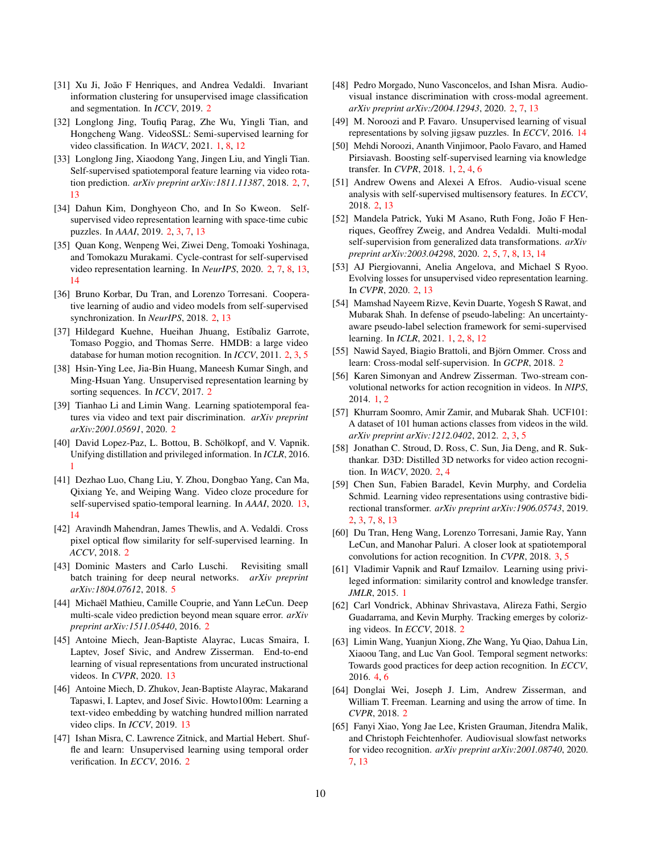- <span id="page-9-9"></span>[31] Xu Ji, João F Henriques, and Andrea Vedaldi. Invariant information clustering for unsupervised image classification and segmentation. In *ICCV*, 2019. [2](#page-1-0)
- <span id="page-9-3"></span>[32] Longlong Jing, Toufiq Parag, Zhe Wu, Yingli Tian, and Hongcheng Wang. VideoSSL: Semi-supervised learning for video classification. In *WACV*, 2021. [1,](#page-0-1) [8,](#page-7-2) [12](#page-11-0)
- <span id="page-9-10"></span>[33] Longlong Jing, Xiaodong Yang, Jingen Liu, and Yingli Tian. Self-supervised spatiotemporal feature learning via video rotation prediction. *arXiv preprint arXiv:1811.11387*, 2018. [2,](#page-1-0) [7,](#page-6-2) [13](#page-12-0)
- <span id="page-9-11"></span>[34] Dahun Kim, Donghyeon Cho, and In So Kweon. Selfsupervised video representation learning with space-time cubic puzzles. In *AAAI*, 2019. [2,](#page-1-0) [3,](#page-2-1) [7,](#page-6-2) [13](#page-12-0)
- <span id="page-9-16"></span>[35] Quan Kong, Wenpeng Wei, Ziwei Deng, Tomoaki Yoshinaga, and Tomokazu Murakami. Cycle-contrast for self-supervised video representation learning. In *NeurIPS*, 2020. [2,](#page-1-0) [7,](#page-6-2) [8,](#page-7-2) [13,](#page-12-0) [14](#page-13-0)
- <span id="page-9-20"></span>[36] Bruno Korbar, Du Tran, and Lorenzo Torresani. Cooperative learning of audio and video models from self-supervised synchronization. In *NeurIPS*, 2018. [2,](#page-1-0) [13](#page-12-0)
- <span id="page-9-8"></span>[37] Hildegard Kuehne, Hueihan Jhuang, Estíbaliz Garrote, Tomaso Poggio, and Thomas Serre. HMDB: a large video database for human motion recognition. In *ICCV*, 2011. [2,](#page-1-0) [3,](#page-2-1) [5](#page-4-1)
- <span id="page-9-13"></span>[38] Hsin-Ying Lee, Jia-Bin Huang, Maneesh Kumar Singh, and Ming-Hsuan Yang. Unsupervised representation learning by sorting sequences. In *ICCV*, 2017. [2](#page-1-0)
- <span id="page-9-24"></span>[39] Tianhao Li and Limin Wang. Learning spatiotemporal features via video and text pair discrimination. *arXiv preprint arXiv:2001.05691*, 2020. [2](#page-1-0)
- <span id="page-9-4"></span>[40] David Lopez-Paz, L. Bottou, B. Schölkopf, and V. Vapnik. Unifying distillation and privileged information. In *ICLR*, 2016. [1](#page-0-1)
- <span id="page-9-33"></span>[41] Dezhao Luo, Chang Liu, Y. Zhou, Dongbao Yang, Can Ma, Qixiang Ye, and Weiping Wang. Video cloze procedure for self-supervised spatio-temporal learning. In *AAAI*, 2020. [13,](#page-12-0) [14](#page-13-0)
- <span id="page-9-18"></span>[42] Aravindh Mahendran, James Thewlis, and A. Vedaldi. Cross pixel optical flow similarity for self-supervised learning. In *ACCV*, 2018. [2](#page-1-0)
- <span id="page-9-29"></span>[43] Dominic Masters and Carlo Luschi. Revisiting small batch training for deep neural networks. *arXiv preprint arXiv:1804.07612*, 2018. [5](#page-4-1)
- <span id="page-9-17"></span>[44] Michaël Mathieu, Camille Couprie, and Yann LeCun. Deep multi-scale video prediction beyond mean square error. *arXiv preprint arXiv:1511.05440*, 2016. [2](#page-1-0)
- <span id="page-9-31"></span>[45] Antoine Miech, Jean-Baptiste Alayrac, Lucas Smaira, I. Laptev, Josef Sivic, and Andrew Zisserman. End-to-end learning of visual representations from uncurated instructional videos. In *CVPR*, 2020. [13](#page-12-0)
- <span id="page-9-32"></span>[46] Antoine Miech, D. Zhukov, Jean-Baptiste Alayrac, Makarand Tapaswi, I. Laptev, and Josef Sivic. Howto100m: Learning a text-video embedding by watching hundred million narrated video clips. In *ICCV*, 2019. [13](#page-12-0)
- <span id="page-9-14"></span>[47] Ishan Misra, C. Lawrence Zitnick, and Martial Hebert. Shuffle and learn: Unsupervised learning using temporal order verification. In *ECCV*, 2016. [2](#page-1-0)
- <span id="page-9-21"></span>[48] Pedro Morgado, Nuno Vasconcelos, and Ishan Misra. Audiovisual instance discrimination with cross-modal agreement. *arXiv preprint arXiv:/2004.12943*, 2020. [2,](#page-1-0) [7,](#page-6-2) [13](#page-12-0)
- <span id="page-9-34"></span>[49] M. Noroozi and P. Favaro. Unsupervised learning of visual representations by solving jigsaw puzzles. In *ECCV*, 2016. [14](#page-13-0)
- <span id="page-9-0"></span>[50] Mehdi Noroozi, Ananth Vinjimoor, Paolo Favaro, and Hamed Pirsiavash. Boosting self-supervised learning via knowledge transfer. In *CVPR*, 2018. [1,](#page-0-1) [2,](#page-1-0) [4,](#page-3-3) [6](#page-5-3)
- <span id="page-9-22"></span>[51] Andrew Owens and Alexei A Efros. Audio-visual scene analysis with self-supervised multisensory features. In *ECCV*, 2018. [2,](#page-1-0) [13](#page-12-0)
- <span id="page-9-28"></span>[52] Mandela Patrick, Yuki M Asano, Ruth Fong, João F Henriques, Geoffrey Zweig, and Andrea Vedaldi. Multi-modal self-supervision from generalized data transformations. *arXiv preprint arXiv:2003.04298*, 2020. [2,](#page-1-0) [5,](#page-4-1) [7,](#page-6-2) [8,](#page-7-2) [13,](#page-12-0) [14](#page-13-0)
- <span id="page-9-23"></span>[53] AJ Piergiovanni, Anelia Angelova, and Michael S Ryoo. Evolving losses for unsupervised video representation learning. In *CVPR*, 2020. [2,](#page-1-0) [13](#page-12-0)
- <span id="page-9-1"></span>[54] Mamshad Nayeem Rizve, Kevin Duarte, Yogesh S Rawat, and Mubarak Shah. In defense of pseudo-labeling: An uncertaintyaware pseudo-label selection framework for semi-supervised learning. In *ICLR*, 2021. [1,](#page-0-1) [2,](#page-1-0) [8,](#page-7-2) [12](#page-11-0)
- <span id="page-9-19"></span>[55] Nawid Sayed, Biagio Brattoli, and Björn Ommer. Cross and learn: Cross-modal self-supervision. In *GCPR*, 2018. [2](#page-1-0)
- <span id="page-9-2"></span>[56] Karen Simonyan and Andrew Zisserman. Two-stream convolutional networks for action recognition in videos. In *NIPS*, 2014. [1,](#page-0-1) [2](#page-1-0)
- <span id="page-9-7"></span>[57] Khurram Soomro, Amir Zamir, and Mubarak Shah. UCF101: A dataset of 101 human actions classes from videos in the wild. *arXiv preprint arXiv:1212.0402*, 2012. [2,](#page-1-0) [3,](#page-2-1) [5](#page-4-1)
- <span id="page-9-6"></span>[58] Jonathan C. Stroud, D. Ross, C. Sun, Jia Deng, and R. Sukthankar. D3D: Distilled 3D networks for video action recognition. In *WACV*, 2020. [2,](#page-1-0) [4](#page-3-3)
- <span id="page-9-25"></span>[59] Chen Sun, Fabien Baradel, Kevin Murphy, and Cordelia Schmid. Learning video representations using contrastive bidirectional transformer. *arXiv preprint arXiv:1906.05743*, 2019. [2,](#page-1-0) [3,](#page-2-1) [7,](#page-6-2) [8,](#page-7-2) [13](#page-12-0)
- <span id="page-9-26"></span>[60] Du Tran, Heng Wang, Lorenzo Torresani, Jamie Ray, Yann LeCun, and Manohar Paluri. A closer look at spatiotemporal convolutions for action recognition. In *CVPR*, 2018. [3,](#page-2-1) [5](#page-4-1)
- <span id="page-9-5"></span>[61] Vladimir Vapnik and Rauf Izmailov. Learning using privileged information: similarity control and knowledge transfer. *JMLR*, 2015. [1](#page-0-1)
- <span id="page-9-12"></span>[62] Carl Vondrick, Abhinav Shrivastava, Alireza Fathi, Sergio Guadarrama, and Kevin Murphy. Tracking emerges by colorizing videos. In *ECCV*, 2018. [2](#page-1-0)
- <span id="page-9-27"></span>[63] Limin Wang, Yuanjun Xiong, Zhe Wang, Yu Qiao, Dahua Lin, Xiaoou Tang, and Luc Van Gool. Temporal segment networks: Towards good practices for deep action recognition. In *ECCV*, 2016. [4,](#page-3-3) [6](#page-5-3)
- <span id="page-9-15"></span>[64] Donglai Wei, Joseph J. Lim, Andrew Zisserman, and William T. Freeman. Learning and using the arrow of time. In *CVPR*, 2018. [2](#page-1-0)
- <span id="page-9-30"></span>[65] Fanyi Xiao, Yong Jae Lee, Kristen Grauman, Jitendra Malik, and Christoph Feichtenhofer. Audiovisual slowfast networks for video recognition. *arXiv preprint arXiv:2001.08740*, 2020. [7,](#page-6-2) [13](#page-12-0)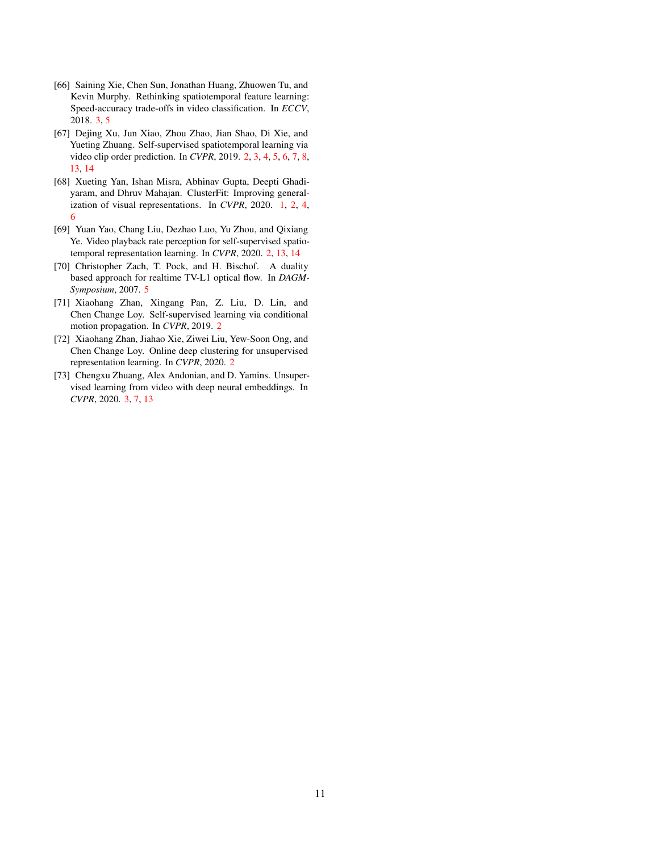- <span id="page-10-5"></span>[66] Saining Xie, Chen Sun, Jonathan Huang, Zhuowen Tu, and Kevin Murphy. Rethinking spatiotemporal feature learning: Speed-accuracy trade-offs in video classification. In *ECCV*, 2018. [3,](#page-2-1) [5](#page-4-1)
- <span id="page-10-2"></span>[67] Dejing Xu, Jun Xiao, Zhou Zhao, Jian Shao, Di Xie, and Yueting Zhuang. Self-supervised spatiotemporal learning via video clip order prediction. In *CVPR*, 2019. [2,](#page-1-0) [3,](#page-2-1) [4,](#page-3-3) [5,](#page-4-1) [6,](#page-5-3) [7,](#page-6-2) [8,](#page-7-2) [13,](#page-12-0) [14](#page-13-0)
- <span id="page-10-0"></span>[68] Xueting Yan, Ishan Misra, Abhinav Gupta, Deepti Ghadiyaram, and Dhruv Mahajan. ClusterFit: Improving generalization of visual representations. In *CVPR*, 2020. [1,](#page-0-1) [2,](#page-1-0) [4,](#page-3-3) [6](#page-5-3)
- <span id="page-10-3"></span>[69] Yuan Yao, Chang Liu, Dezhao Luo, Yu Zhou, and Qixiang Ye. Video playback rate perception for self-supervised spatiotemporal representation learning. In *CVPR*, 2020. [2,](#page-1-0) [13,](#page-12-0) [14](#page-13-0)
- <span id="page-10-7"></span>[70] Christopher Zach, T. Pock, and H. Bischof. A duality based approach for realtime TV-L1 optical flow. In *DAGM-Symposium*, 2007. [5](#page-4-1)
- <span id="page-10-4"></span>[71] Xiaohang Zhan, Xingang Pan, Z. Liu, D. Lin, and Chen Change Loy. Self-supervised learning via conditional motion propagation. In *CVPR*, 2019. [2](#page-1-0)
- <span id="page-10-1"></span>[72] Xiaohang Zhan, Jiahao Xie, Ziwei Liu, Yew-Soon Ong, and Chen Change Loy. Online deep clustering for unsupervised representation learning. In *CVPR*, 2020. [2](#page-1-0)
- <span id="page-10-6"></span>[73] Chengxu Zhuang, Alex Andonian, and D. Yamins. Unsupervised learning from video with deep neural embeddings. In *CVPR*, 2020. [3,](#page-2-1) [7,](#page-6-2) [13](#page-12-0)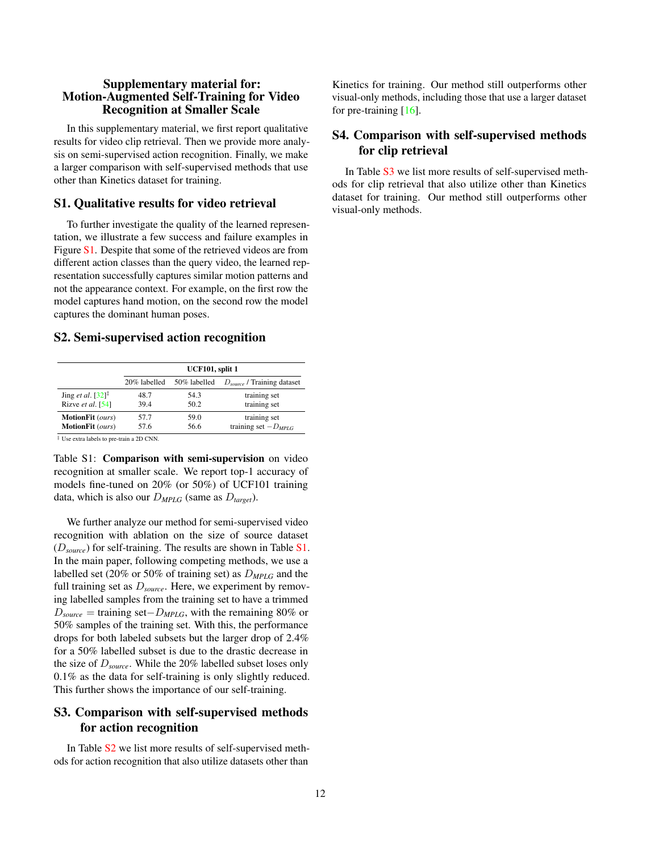### <span id="page-11-0"></span>Supplementary material for: Motion-Augmented Self-Training for Video Recognition at Smaller Scale

In this supplementary material, we first report qualitative results for video clip retrieval. Then we provide more analysis on semi-supervised action recognition. Finally, we make a larger comparison with self-supervised methods that use other than Kinetics dataset for training.

### S1. Qualitative results for video retrieval

To further investigate the quality of the learned representation, we illustrate a few success and failure examples in Figure [S1.](#page-12-1) Despite that some of the retrieved videos are from different action classes than the query video, the learned representation successfully captures similar motion patterns and not the appearance context. For example, on the first row the model captures hand motion, on the second row the model captures the dominant human poses.

### S2. Semi-supervised action recognition

<span id="page-11-1"></span>

|                                                     | UCF101, split 1 |              |                                 |  |  |  |
|-----------------------------------------------------|-----------------|--------------|---------------------------------|--|--|--|
|                                                     | 20% labelled    | 50% labelled | $D_{source}$ / Training dataset |  |  |  |
| Jing et al. $[32]$ <sup><math>\ddagger</math></sup> | 48.7            | 54.3         | training set                    |  |  |  |
| Rizve et al. $[54]$                                 | 39.4            | 50.2         | training set                    |  |  |  |
| <b>MotionFit</b> (ours)                             | 57.7            | 59.0         | training set                    |  |  |  |
| <b>MotionFit</b> (ours)                             | 57.6            | 56.6         | training set $-D_{MPIG}$        |  |  |  |

Table S1: Comparison with semi-supervision on video recognition at smaller scale. We report top-1 accuracy of models fine-tuned on 20% (or 50%) of UCF101 training

data, which is also our D*MPLG* (same as D*target*).

We further analyze our method for semi-supervised video recognition with ablation on the size of source dataset (D*source*) for self-training. The results are shown in Table [S1.](#page-11-1) In the main paper, following competing methods, we use a labelled set (20% or 50% of training set) as D*MPLG* and the full training set as D*source*. Here, we experiment by removing labelled samples from the training set to have a trimmed D*source* = training set−D*MPLG*, with the remaining 80% or 50% samples of the training set. With this, the performance drops for both labeled subsets but the larger drop of 2.4% for a 50% labelled subset is due to the drastic decrease in the size of D*source*. While the 20% labelled subset loses only 0.1% as the data for self-training is only slightly reduced. This further shows the importance of our self-training.

# S3. Comparison with self-supervised methods for action recognition

In Table [S2](#page-12-2) we list more results of self-supervised methods for action recognition that also utilize datasets other than

Kinetics for training. Our method still outperforms other visual-only methods, including those that use a larger dataset for pre-training  $[16]$ .

## S4. Comparison with self-supervised methods for clip retrieval

In Table [S3](#page-13-1) we list more results of self-supervised methods for clip retrieval that also utilize other than Kinetics dataset for training. Our method still outperforms other visual-only methods.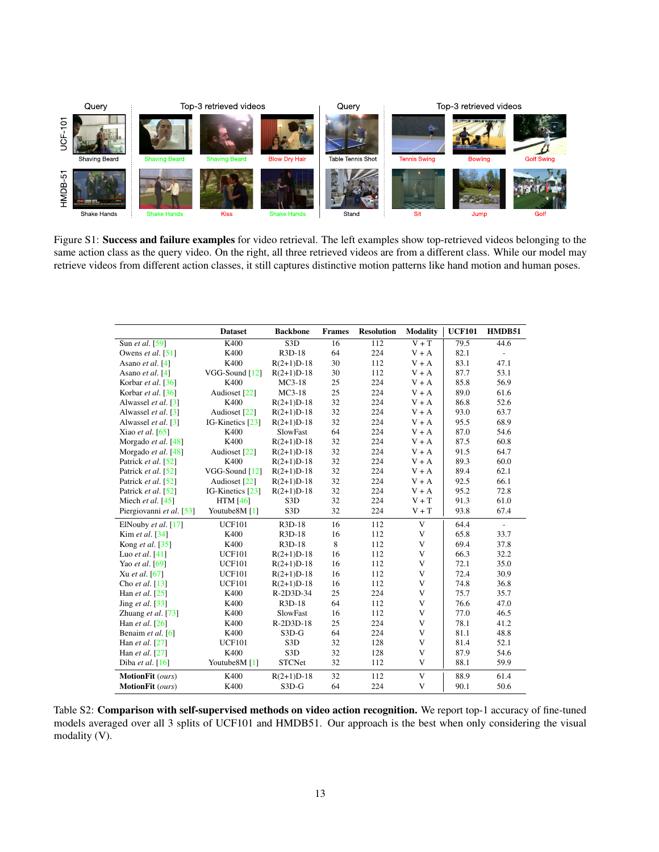<span id="page-12-1"></span><span id="page-12-0"></span>

Figure S1: Success and failure examples for video retrieval. The left examples show top-retrieved videos belonging to the same action class as the query video. On the right, all three retrieved videos are from a different class. While our model may retrieve videos from different action classes, it still captures distinctive motion patterns like hand motion and human poses.

<span id="page-12-2"></span>

|                                        | <b>Dataset</b>   | <b>Backbone</b>         | <b>Frames</b> | <b>Resolution</b> | <b>Modality</b> | <b>UCF101</b> | HMDB51                   |
|----------------------------------------|------------------|-------------------------|---------------|-------------------|-----------------|---------------|--------------------------|
| Sun et al. [59]                        | K400             | $\overline{\text{S3D}}$ | 16            | 112               | $V + T$         | 79.5          | 44.6                     |
| Owens <i>et al.</i> $\lceil 51 \rceil$ | K400             | $R3D-18$                | 64            | 224               | $V + A$         | 82.1          | $\overline{\phantom{a}}$ |
| Asano et al. $[4]$                     | K400             | $R(2+1)D-18$            | 30            | 112               | $V + A$         | 83.1          | 47.1                     |
| Asano et al. $[4]$                     | VGG-Sound $[12]$ | $R(2+1)D-18$            | 30            | 112               | $V + A$         | 87.7          | 53.1                     |
| Korbar et al. $\lceil 36 \rceil$       | K400             | $MC3-18$                | 25            | 224               | $V + A$         | 85.8          | 56.9                     |
| Korbar et al. [36]                     | Audioset [22]    | $MC3-18$                | 25            | 224               | $V + A$         | 89.0          | 61.6                     |
| Alwassel et al. [3]                    | K400             | $R(2+1)D-18$            | 32            | 224               | $V + A$         | 86.8          | 52.6                     |
| Alwassel et al. [3]                    | Audioset [22]    | $R(2+1)D-18$            | 32            | 224               | $V + A$         | 93.0          | 63.7                     |
| Alwassel et al. [3]                    | IG-Kinetics [23] | $R(2+1)D-18$            | 32            | 224               | $V + A$         | 95.5          | 68.9                     |
| Xiao et al. $[65]$                     | K400             | SlowFast                | 64            | 224               | $V + A$         | 87.0          | 54.6                     |
| Morgado et al. [48]                    | K400             | $R(2+1)D-18$            | 32            | 224               | $V + A$         | 87.5          | 60.8                     |
| Morgado et al. [48]                    | Audioset [22]    | $R(2+1)D-18$            | 32            | 224               | $V + A$         | 91.5          | 64.7                     |
| Patrick et al. [52]                    | K400             | $R(2+1)D-18$            | 32            | 224               | $V + A$         | 89.3          | 60.0                     |
| Patrick et al. [52]                    | VGG-Sound [12]   | $R(2+1)D-18$            | 32            | 224               | $V + A$         | 89.4          | 62.1                     |
| Patrick et al. [52]                    | Audioset [22]    | $R(2+1)D-18$            | 32            | 224               | $V + A$         | 92.5          | 66.1                     |
| Patrick et al. [52]                    | IG-Kinetics [23] | $R(2+1)D-18$            | 32            | 224               | $V + A$         | 95.2          | 72.8                     |
| Miech et al. $[45]$                    | <b>HTM</b> [46]  | S <sub>3</sub> D        | 32            | 224               | $V + T$         | 91.3          | 61.0                     |
| Piergiovanni et al. [53]               | Youtube8M [1]    | S <sub>3</sub> D        | 32            | 224               | $V + T$         | 93.8          | 67.4                     |
| ElNouby et al. $[17]$                  | <b>UCF101</b>    | R3D-18                  | 16            | 112               | V               | 64.4          | $\overline{\phantom{0}}$ |
| Kim et al. [34]                        | K400             | $R3D-18$                | 16            | 112               | V               | 65.8          | 33.7                     |
| Kong et al. $[35]$                     | K400             | R3D-18                  | 8             | 112               | V               | 69.4          | 37.8                     |
| Luo et al. $[41]$                      | <b>UCF101</b>    | $R(2+1)D-18$            | 16            | 112               | V               | 66.3          | 32.2                     |
| Yao et al. [69]                        | <b>UCF101</b>    | $R(2+1)D-18$            | 16            | 112               | V               | 72.1          | 35.0                     |
| Xu et al. [67]                         | <b>UCF101</b>    | $R(2+1)D-18$            | 16            | 112               | V               | 72.4          | 30.9                     |
| Cho et al. $[13]$                      | <b>UCF101</b>    | $R(2+1)D-18$            | 16            | 112               | V               | 74.8          | 36.8                     |
| Han et al. [25]                        | K400             | R-2D3D-34               | 25            | 224               | V               | 75.7          | 35.7                     |
| Jing et al. $[33]$                     | K400             | $R3D-18$                | 64            | 112               | V               | 76.6          | 47.0                     |
| Zhuang et al. [73]                     | K400             | <b>SlowFast</b>         | 16            | 112               | V               | 77.0          | 46.5                     |
| Han et al. $[26]$                      | K400             | R-2D3D-18               | 25            | 224               | V               | 78.1          | 41.2                     |
| Benaim et al. $[6]$                    | K400             | $S3D-G$                 | 64            | 224               | V               | 81.1          | 48.8                     |
| Han et al. $[27]$                      | <b>UCF101</b>    | S <sub>3</sub> D        | 32            | 128               | V               | 81.4          | 52.1                     |
| Han et al. [27]                        | K400             | S <sub>3</sub> D        | 32            | 128               | V               | 87.9          | 54.6                     |
| Diba et al. $[16]$                     | Youtube8M [1]    | <b>STCNet</b>           | 32            | 112               | V               | 88.1          | 59.9                     |
| MotionFit (ours)                       | K400             | $R(2+1)D-18$            | 32            | 112               | V               | 88.9          | 61.4                     |
| MotionFit (ours)                       | K400             | $S3D-G$                 | 64            | 224               | V               | 90.1          | 50.6                     |

Table S2: Comparison with self-supervised methods on video action recognition. We report top-1 accuracy of fine-tuned models averaged over all 3 splits of UCF101 and HMDB51. Our approach is the best when only considering the visual modality (V).